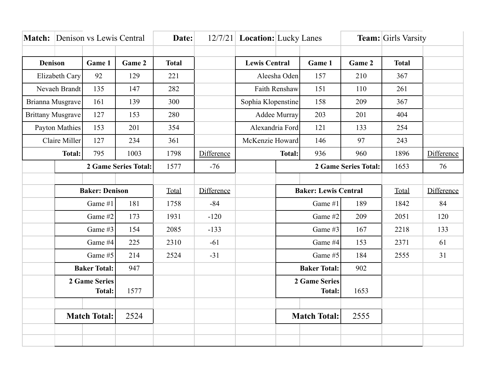|                          |                             | <b>Match:</b> Denison vs Lewis Central |        | Date:        |            |                             | 12/7/21 Location: Lucky Lanes |                     |                              | <b>Team:</b> Girls Varsity |            |
|--------------------------|-----------------------------|----------------------------------------|--------|--------------|------------|-----------------------------|-------------------------------|---------------------|------------------------------|----------------------------|------------|
|                          |                             |                                        |        |              |            |                             |                               |                     |                              |                            |            |
| <b>Denison</b>           |                             | Game 1                                 | Game 2 | <b>Total</b> |            | <b>Lewis Central</b>        |                               | Game 1              | Game 2                       | <b>Total</b>               |            |
| Elizabeth Cary           |                             | 92                                     | 129    | 221          |            | Aleesha Oden                |                               | 157                 | 210                          | 367                        |            |
| Nevaeh Brandt            |                             | 135                                    | 147    | 282          |            | Faith Renshaw               |                               | 151                 | 110                          | 261                        |            |
| Brianna Musgrave         |                             | 161                                    | 139    | 300          |            | Sophia Klopenstine          |                               | 158                 | 209                          | 367                        |            |
| <b>Brittany Musgrave</b> |                             | 127                                    | 153    | 280          |            | Addee Murray                |                               | 203                 | 201                          | 404                        |            |
| Payton Mathies           |                             | 153                                    | 201    | 354          |            | Alexandria Ford             |                               | 121                 | 133                          | 254                        |            |
| Claire Miller            |                             | 127                                    | 234    | 361          |            | McKenzie Howard             |                               | 146                 | 97                           | 243                        |            |
|                          | <b>Total:</b>               |                                        | 1003   | 1798         | Difference | <b>Total:</b>               |                               | 936                 | 960                          | 1896                       | Difference |
|                          | <b>2 Game Series Total:</b> |                                        |        | 1577         | $-76$      |                             |                               |                     | 2 Game Series Total:<br>1653 |                            | 76         |
|                          |                             |                                        |        |              |            |                             |                               |                     |                              |                            |            |
|                          | <b>Baker: Denison</b>       |                                        | Total  | Difference   |            | <b>Baker: Lewis Central</b> |                               |                     | Total                        | Difference                 |            |
|                          | Game #1<br>181              |                                        |        | 1758         | $-84$      |                             | Game #1                       |                     | 189                          | 1842                       | 84         |
|                          | Game #2                     |                                        | 173    | 1931         | $-120$     |                             | Game #2                       |                     | 209                          | 2051                       | 120        |
|                          | Game #3                     |                                        | 154    | 2085         | $-133$     |                             | Game #3                       |                     | 167                          | 2218                       | 133        |
|                          | Game #4                     |                                        | 225    | 2310         | $-61$      |                             | Game #4                       |                     | 153                          | 2371                       | 61         |
|                          | Game #5                     |                                        | 214    | 2524         | $-31$      |                             | Game #5                       |                     | 184                          | 2555                       | 31         |
|                          | <b>Baker Total:</b>         |                                        | 947    |              |            |                             | <b>Baker Total:</b>           |                     | 902                          |                            |            |
|                          | <b>2 Game Series</b>        |                                        |        |              |            |                             | 2 Game Series                 |                     |                              |                            |            |
|                          | <b>Total:</b>               |                                        | 1577   |              |            |                             |                               | Total:              | 1653                         |                            |            |
|                          |                             |                                        |        |              |            |                             |                               |                     |                              |                            |            |
|                          | <b>Match Total:</b>         |                                        | 2524   |              |            |                             |                               | <b>Match Total:</b> | 2555                         |                            |            |
|                          |                             |                                        |        |              |            |                             |                               |                     |                              |                            |            |
|                          |                             |                                        |        |              |            |                             |                               |                     |                              |                            |            |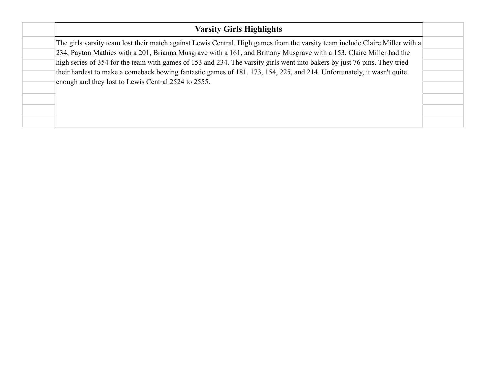| <b>Varsity Girls Highlights</b>                                                                                              |  |
|------------------------------------------------------------------------------------------------------------------------------|--|
| The girls varsity team lost their match against Lewis Central. High games from the varsity team include Claire Miller with a |  |
| 234, Payton Mathies with a 201, Brianna Musgrave with a 161, and Brittany Musgrave with a 153. Claire Miller had the         |  |
| high series of 354 for the team with games of 153 and 234. The varsity girls went into bakers by just 76 pins. They tried    |  |
| their hardest to make a comeback bowing fantastic games of 181, 173, 154, 225, and 214. Unfortunately, it wasn't quite       |  |
| enough and they lost to Lewis Central 2524 to 2555.                                                                          |  |
|                                                                                                                              |  |
|                                                                                                                              |  |
|                                                                                                                              |  |
|                                                                                                                              |  |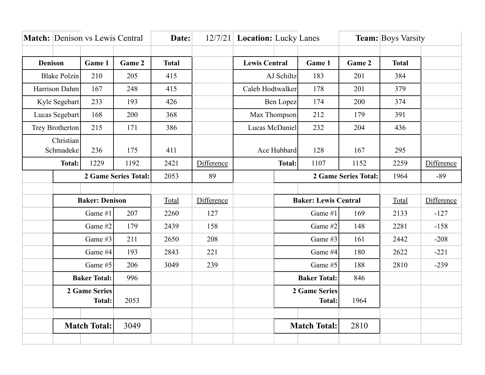|                          |                                        | <b>Match:</b> Denison vs Lewis Central |        | Date:        |            | 12/7/21 Location: Lucky Lanes |                             |                                | <b>Team:</b> Boys Varsity |              |            |
|--------------------------|----------------------------------------|----------------------------------------|--------|--------------|------------|-------------------------------|-----------------------------|--------------------------------|---------------------------|--------------|------------|
|                          |                                        |                                        |        |              |            |                               |                             |                                |                           |              |            |
| <b>Denison</b><br>Game 1 |                                        |                                        | Game 2 | <b>Total</b> |            | <b>Lewis Central</b>          |                             | Game 1                         | Game 2                    | <b>Total</b> |            |
| <b>Blake Polzin</b>      |                                        | 210                                    | 205    | 415          |            | AJ Schiltz                    |                             | 183                            | 201                       | 384          |            |
| Harrison Dahm            |                                        | 167                                    | 248    | 415          |            | Caleb Hodtwalker              |                             | 178                            | 201                       | 379          |            |
| Kyle Segebart            |                                        | 233                                    | 193    | 426          |            | Ben Lopez                     |                             | 174                            | 200                       | 374          |            |
| Lucas Segebart           |                                        | 168                                    | 200    | 368          |            | Max Thompson                  |                             | 212                            | 179                       | 391          |            |
|                          | Trey Brotherton                        |                                        | 171    | 386          |            | Lucas McDaniel                |                             | 232                            | 204                       | 436          |            |
| Christian<br>Schmadeke   |                                        | 236                                    | 175    | 411          |            | Ace Hubbard                   |                             | 128                            | 167                       | 295          |            |
|                          | <b>Total:</b>                          | 1229                                   | 1192   | 2421         | Difference |                               | <b>Total:</b>               | 1107                           | 1152                      | 2259         | Difference |
|                          | 2 Game Series Total:                   |                                        | 2053   | 89           |            |                               |                             | 2 Game Series Total:           | 1964                      | $-89$        |            |
|                          |                                        |                                        |        |              |            |                               |                             |                                |                           |              |            |
|                          | <b>Baker: Denison</b>                  |                                        |        | Total        | Difference |                               | <b>Baker: Lewis Central</b> |                                |                           | Total        | Difference |
|                          | Game #1<br>207                         |                                        |        | 2260         | 127        |                               | Game #1                     |                                | 169                       | 2133         | $-127$     |
|                          | Game #2                                |                                        | 179    | 2439         | 158        |                               | Game #2                     |                                | 148                       | 2281         | $-158$     |
|                          | Game #3                                |                                        | 211    | 2650         | 208        |                               | Game #3                     |                                | 161                       | 2442         | $-208$     |
|                          | Game #4                                |                                        | 193    | 2843         | 221        |                               | Game #4                     |                                | 180                       | 2622         | $-221$     |
|                          | Game #5                                |                                        | 206    | 3049         | 239        |                               | Game #5                     |                                | 188                       | 2810         | $-239$     |
|                          | <b>Baker Total:</b>                    |                                        | 996    |              |            |                               | <b>Baker Total:</b>         |                                | 846                       |              |            |
|                          | 2 Game Series<br>2053<br><b>Total:</b> |                                        |        |              |            |                               |                             | 2 Game Series<br><b>Total:</b> | 1964                      |              |            |
|                          |                                        | <b>Match Total:</b>                    | 3049   |              |            |                               |                             | <b>Match Total:</b>            | 2810                      |              |            |